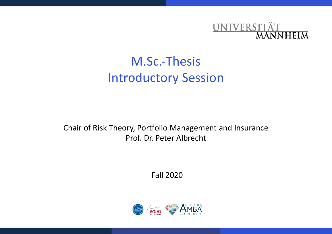

# M.Sc.-Thesis Introductory Session

Chair of Risk Theory, Portfolio Management and Insurance Prof. Dr. Peter Albrecht

Fall 2020

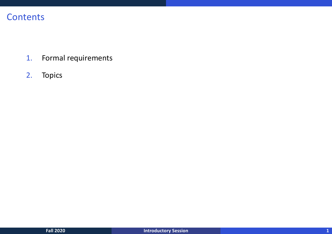# **Contents**

- 1. Formal requirements
- 2. Topics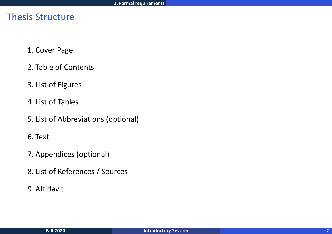# Thesis Structure

- 1. Cover Page
- 2. Table of Contents
- 3. List of Figures
- 4. List of Tables
- 5. List of Abbreviations (optional)
- 6. Text
- 7. Appendices (optional)
- 8. List of References / Sources
- 9. Affidavit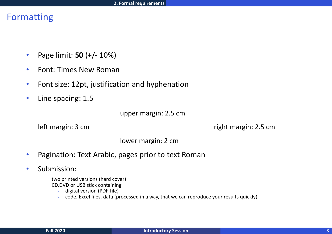# Formatting

- Page limit: **50** (+/- 10%)
- Font: Times New Roman
- Font size: 12pt, justification and hyphenation
- Line spacing: 1.5

upper margin: 2.5 cm

left margin: 3 cm right margin: 2.5 cm

lower margin: 2 cm

- Pagination: Text Arabic, pages prior to text Roman
- Submission:
	- two printed versions (hard cover)
	- CD, DVD or USB stick containing
		- $\triangleright$  digital version (PDF-file)
		- $\triangleright$  code, Excel files, data (processed in a way, that we can reproduce your results quickly)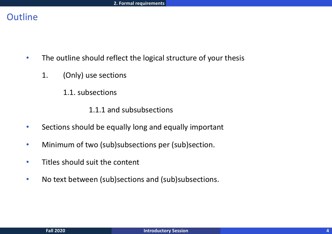# **Outline**

- The outline should reflect the logical structure of your thesis
	- 1. (Only) use sections
		- 1.1. subsections

1.1.1 and subsubsections

- Sections should be equally long and equally important
- Minimum of two (sub)subsections per (sub)section.
- Titles should suit the content
- No text between (sub)sections and (sub)subsections.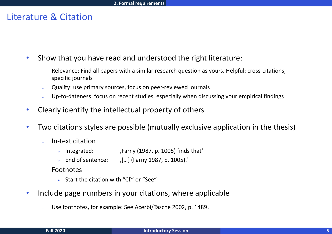### Literature & Citation

• Show that you have read and understood the right literature:

- Relevance: Find all papers with a similar research question as yours. Helpful: cross-citations, specific journals
- Quality: use primary sources, focus on peer-reviewed journals
- Up-to-dateness: focus on recent studies, especially when discussing your empirical findings
- Clearly identify the intellectual property of others
- Two citations styles are possible (mutually exclusive application in the thesis)
	- In-text citation
		- Integrated: ,Farny (1987, p. 1005) finds that'
		- $\triangleright$  End of sentence:  $\quad$  [...] (Farny 1987, p. 1005).
	- **Footnotes** 
		- $\triangleright$  Start the citation with "Cf." or "See"
- Include page numbers in your citations, where applicable
	- Use footnotes, for example: See Acerbi/Tasche 2002, p. 1489.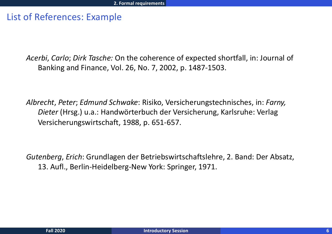## List of References: Example

*Acerbi*, *Carlo*; *Dirk Tasche:* On the coherence of expected shortfall, in: Journal of Banking and Finance, Vol. 26, No. 7, 2002, p. 1487-1503.

*Albrecht*, *Peter*; *Edmund Schwake*: Risiko, Versicherungstechnisches, in: *Farny, Dieter* (Hrsg.) u.a.: Handwörterbuch der Versicherung, Karlsruhe: Verlag Versicherungswirtschaft, 1988, p. 651-657.

*Gutenberg*, *Erich*: Grundlagen der Betriebswirtschaftslehre, 2. Band: Der Absatz, 13. Aufl., Berlin-Heidelberg-New York: Springer, 1971.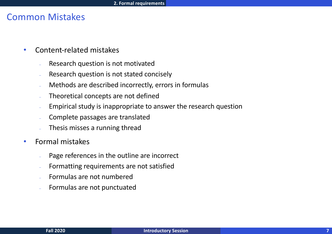### Common Mistakes

- Content-related mistakes
	- Research question is not motivated
	- Research question is not stated concisely
	- Methods are described incorrectly, errors in formulas
	- Theoretical concepts are not defined
	- Empirical study is inappropriate to answer the research question
	- Complete passages are translated
	- Thesis misses a running thread
- Formal mistakes
	- Page references in the outline are incorrect
	- Formatting requirements are not satisfied
	- Formulas are not numbered
	- Formulas are not punctuated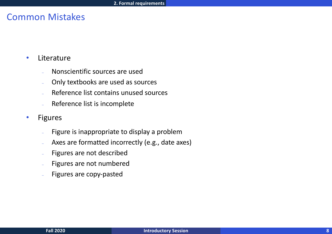# Common Mistakes

- Literature
	- Nonscientific sources are used
	- Only textbooks are used as sources
	- Reference list contains unused sources
	- Reference list is incomplete
- Figures
	- Figure is inappropriate to display a problem
	- Axes are formatted incorrectly (e.g., date axes)
	- Figures are not described
	- Figures are not numbered
	- Figures are copy-pasted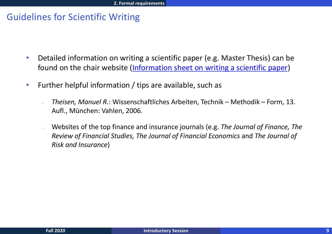# Guidelines for Scientific Writing

- Detailed information on writing a scientific paper (e.g. Maste found on the chair website (Information sheet on writing a so
- Further helpful information / tips are available, such as
	- *Theisen, Manuel R.*: Wissenschaftliches Arbeiten, Technik Methodik Aufl., München: Vahlen, 2006.
	- Websites of the top finance and insurance journals (e.g. *The Journals*) **Review of Financial Studies, The Journal of Financial Economics** *Risk and Insurance*)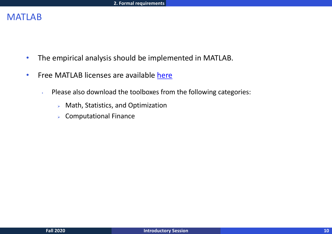# MATLAB

- The empirical analysis should be implemented in MATLAB.
- Free MATLAB licenses are available here
	- $\cdot$  Please also download the toolboxes from the following categor
		- $\triangleright$  Math, Statistics, and Optimization
		- $\triangleright$  Computational Finance